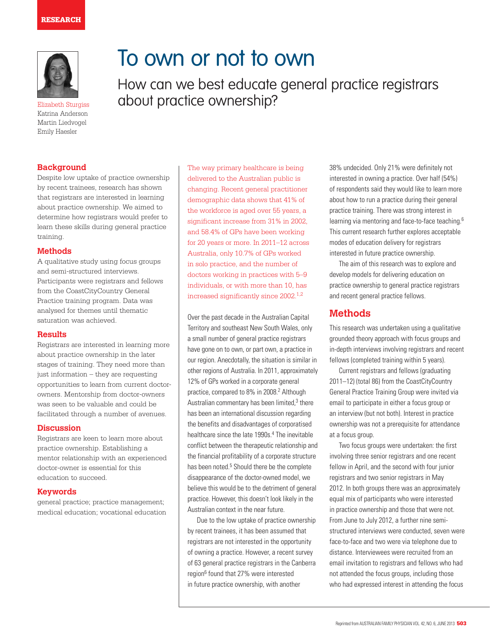### **RESEARCH**



Elizabeth Sturgiss about practice ownership? Katrina Anderson Martin Liedvogel Emily Haesler

## **Background**

Despite low uptake of practice ownership by recent trainees, research has shown that registrars are interested in learning about practice ownership. We aimed to determine how registrars would prefer to learn these skills during general practice training.

### **Methods**

A qualitative study using focus groups and semi-structured interviews. Participants were registrars and fellows from the CoastCityCountry General Practice training program. Data was analysed for themes until thematic saturation was achieved.

### **Results**

Registrars are interested in learning more about practice ownership in the later stages of training. They need more than just information – they are requesting opportunities to learn from current doctorowners. Mentorship from doctor-owners was seen to be valuable and could be facilitated through a number of avenues.

#### **Discussion**

Registrars are keen to learn more about practice ownership. Establishing a mentor relationship with an experienced doctor-owner is essential for this education to succeed.

#### **Keywords**

general practice; practice management; medical education; vocational education The way primary healthcare is being delivered to the Australian public is changing. Recent general practitioner demographic data shows that 41% of the workforce is aged over 55 years, a significant increase from 31% in 2002, and 58.4% of GPs have been working for 20 years or more. In 2011–12 across Australia, only 10.7% of GPs worked in solo practice, and the number of doctors working in practices with 5–9 individuals, or with more than 10, has increased significantly since 2002.<sup>1,2</sup>

How can we best educate general practice registrars

To own or not to own

Over the past decade in the Australian Capital Territory and southeast New South Wales, only a small number of general practice registrars have gone on to own, or part own, a practice in our region. Anecdotally, the situation is similar in other regions of Australia. In 2011, approximately 12% of GPs worked in a corporate general practice, compared to 8% in 2008.<sup>2</sup> Although Australian commentary has been limited,<sup>3</sup> there has been an international discussion regarding the benefits and disadvantages of corporatised healthcare since the late 1990s.<sup>4</sup> The inevitable conflict between the therapeutic relationship and the financial profitability of a corporate structure has been noted.<sup>5</sup> Should there be the complete disappearance of the doctor-owned model, we believe this would be to the detriment of general practice. However, this doesn't look likely in the Australian context in the near future.

Due to the low uptake of practice ownership by recent trainees, it has been assumed that registrars are not interested in the opportunity of owning a practice. However, a recent survey of 63 general practice registrars in the Canberra region<sup>6</sup> found that 27% were interested in future practice ownership, with another

38% undecided. Only 21% were definitely not interested in owning a practice. Over half (54%) of respondents said they would like to learn more about how to run a practice during their general practice training. There was strong interest in learning via mentoring and face-to-face teaching.6 This current research further explores acceptable modes of education delivery for registrars interested in future practice ownership.

The aim of this research was to explore and develop models for delivering education on practice ownership to general practice registrars and recent general practice fellows.

## **Methods**

This research was undertaken using a qualitative grounded theory approach with focus groups and in-depth interviews involving registrars and recent fellows (completed training within 5 years).

Current registrars and fellows (graduating 2011–12) (total 86) from the CoastCityCountry General Practice Training Group were invited via email to participate in either a focus group or an interview (but not both). Interest in practice ownership was not a prerequisite for attendance at a focus group.

Two focus groups were undertaken: the first involving three senior registrars and one recent fellow in April, and the second with four junior registrars and two senior registrars in May 2012. In both groups there was an approximately equal mix of participants who were interested in practice ownership and those that were not. From June to July 2012, a further nine semistructured interviews were conducted, seven were face-to-face and two were via telephone due to distance. Interviewees were recruited from an email invitation to registrars and fellows who had not attended the focus groups, including those who had expressed interest in attending the focus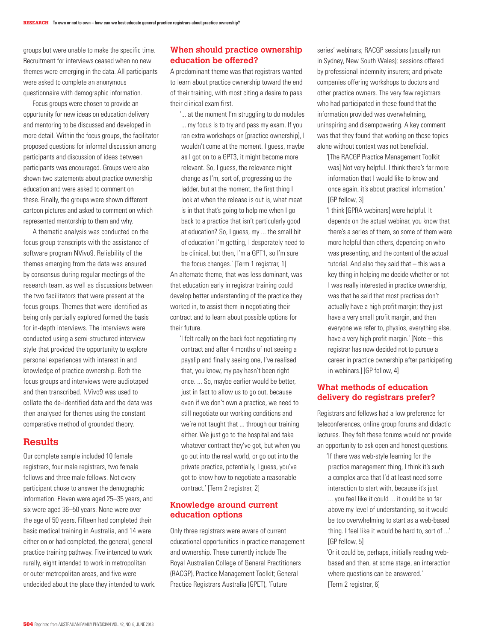groups but were unable to make the specific time. Recruitment for interviews ceased when no new themes were emerging in the data. All participants were asked to complete an anonymous questionnaire with demographic information.

Focus groups were chosen to provide an opportunity for new ideas on education delivery and mentoring to be discussed and developed in more detail. Within the focus groups, the facilitator proposed questions for informal discussion among participants and discussion of ideas between participants was encouraged. Groups were also shown two statements about practice ownership education and were asked to comment on these. Finally, the groups were shown different cartoon pictures and asked to comment on which represented mentorship to them and why.

A thematic analysis was conducted on the focus group transcripts with the assistance of software program NVivo9. Reliability of the themes emerging from the data was ensured by consensus during regular meetings of the research team, as well as discussions between the two facilitators that were present at the focus groups. Themes that were identified as being only partially explored formed the basis for in-depth interviews. The interviews were conducted using a semi-structured interview style that provided the opportunity to explore personal experiences with interest in and knowledge of practice ownership. Both the focus groups and interviews were audiotaped and then transcribed. NVivo9 was used to collate the de-identified data and the data was then analysed for themes using the constant comparative method of grounded theory.

## **Results**

Our complete sample included 10 female registrars, four male registrars, two female fellows and three male fellows. Not every participant chose to answer the demographic information. Eleven were aged 25–35 years, and six were aged 36–50 years. None were over the age of 50 years. Fifteen had completed their basic medical training in Australia, and 14 were either on or had completed, the general, general practice training pathway. Five intended to work rurally, eight intended to work in metropolitan or outer metropolitan areas, and five were undecided about the place they intended to work.

## **When should practice ownership education be offered?**

A predominant theme was that registrars wanted to learn about practice ownership toward the end of their training, with most citing a desire to pass their clinical exam first.

'... at the moment I'm struggling to do modules ... my focus is to try and pass my exam. If you ran extra workshops on [practice ownership], I wouldn't come at the moment. I quess, maybe as I got on to a GPT3, it might become more relevant. So, I guess, the relevance might change as I'm, sort of, progressing up the ladder, but at the moment, the first thing I look at when the release is out is, what meat is in that that's going to help me when I go back to a practice that isn't particularly good at education? So, I guess, my ... the small bit of education I'm getting, I desperately need to be clinical, but then, I'm a GPT1, so I'm sure the focus changes.' [Term 1 registrar, 1]

An alternate theme, that was less dominant, was that education early in registrar training could develop better understanding of the practice they worked in, to assist them in negotiating their contract and to learn about possible options for their future.

'I felt really on the back foot negotiating my contract and after 4 months of not seeing a payslip and finally seeing one, I've realised that, you know, my pay hasn't been right once. ... So, maybe earlier would be better, just in fact to allow us to go out, because even if we don't own a practice, we need to still negotiate our working conditions and we're not taught that ... through our training either. We just go to the hospital and take whatever contract they've got, but when you go out into the real world, or go out into the private practice, potentially, I guess, you've got to know how to negotiate a reasonable contract.' [Term 2 registrar, 2]

## **Knowledge around current education options**

Only three registrars were aware of current educational opportunities in practice management and ownership. These currently include The Royal Australian College of General Practitioners (RACGP), Practice Management Toolkit; General Practice Registrars Australia (GPET), 'Future

series' webinars; RACGP sessions (usually run in Sydney, New South Wales); sessions offered by professional indemnity insurers; and private companies offering workshops to doctors and other practice owners. The very few registrars who had participated in these found that the information provided was overwhelming, uninspiring and disempowering. A key comment was that they found that working on these topics alone without context was not beneficial.

'[The RACGP Practice Management Toolkit was] Not very helpful. I think there's far more information that I would like to know and once again, it's about practical information.' [GP fellow, 3]

'I think [GPRA webinars] were helpful. It depends on the actual webinar, you know that there's a series of them, so some of them were more helpful than others, depending on who was presenting, and the content of the actual tutorial. And also they said that – this was a key thing in helping me decide whether or not I was really interested in practice ownership, was that he said that most practices don't actually have a high profit margin; they just have a very small profit margin, and then everyone we refer to, physios, everything else, have a very high profit margin.' [Note – this registrar has now decided not to pursue a career in practice ownership after participating in webinars.] [GP fellow, 4]

## **What methods of education delivery do registrars prefer?**

Registrars and fellows had a low preference for teleconferences, online group forums and didactic lectures. They felt these forums would not provide an opportunity to ask open and honest questions.

'If there was web-style learning for the practice management thing, I think it's such a complex area that I'd at least need some interaction to start with, because it's just

... you feel like it could ... it could be so far above my level of understanding, so it would be too overwhelming to start as a web-based thing. I feel like it would be hard to, sort of ...' [GP fellow, 5]

'Or it could be, perhaps, initially reading webbased and then, at some stage, an interaction where questions can be answered.' [Term 2 registrar, 6]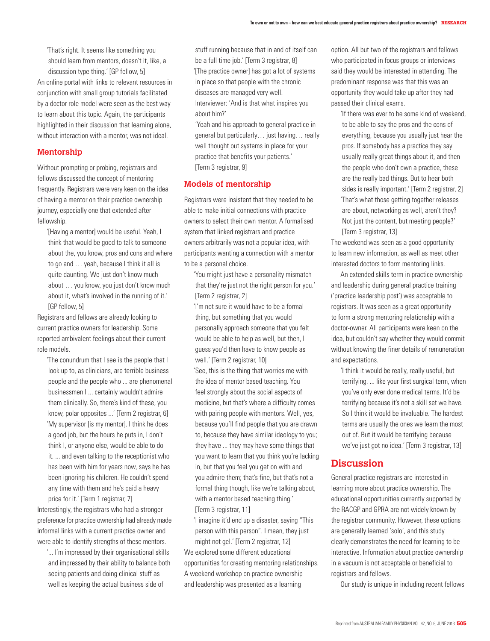'That's right. It seems like something you should learn from mentors, doesn't it, like, a discussion type thing.' [GP fellow, 5] An online portal with links to relevant resources in conjunction with small group tutorials facilitated by a doctor role model were seen as the best way to learn about this topic. Again, the participants highlighted in their discussion that learning alone, without interaction with a mentor, was not ideal.

### **Mentorship**

Without prompting or probing, registrars and fellows discussed the concept of mentoring frequently. Registrars were very keen on the idea of having a mentor on their practice ownership journey, especially one that extended after fellowship.

'[Having a mentor] would be useful. Yeah, I think that would be good to talk to someone about the, you know, pros and cons and where to go and … yeah, because I think it all is quite daunting. We just don't know much about … you know, you just don't know much about it, what's involved in the running of it.' [GP fellow, 5]

Registrars and fellows are already looking to current practice owners for leadership. Some reported ambivalent feelings about their current role models.

'The conundrum that I see is the people that I look up to, as clinicians, are terrible business people and the people who ... are phenomenal businessmen I ... certainly wouldn't admire them clinically. So, there's kind of these, you know, polar opposites ...' [Term 2 registrar, 6] 'My supervisor [is my mentor]. I think he does a good job, but the hours he puts in, I don't think I, or anyone else, would be able to do it. ... and even talking to the receptionist who has been with him for years now, says he has been ignoring his children. He couldn't spend any time with them and he's paid a heavy

price for it.' [Term 1 registrar, 7] Interestingly, the registrars who had a stronger preference for practice ownership had already made informal links with a current practice owner and were able to identify strengths of these mentors.

'... I'm impressed by their organisational skills and impressed by their ability to balance both seeing patients and doing clinical stuff as well as keeping the actual business side of

stuff running because that in and of itself can be a full time job.' [Term 3 registrar, 8] '[The practice owner] has got a lot of systems in place so that people with the chronic diseases are managed very well.

Interviewer: 'And is that what inspires you about him?'

'Yeah and his approach to general practice in general but particularly… just having… really well thought out systems in place for your practice that benefits your patients.' [Term 3 registrar, 9]

## **Models of mentorship**

Registrars were insistent that they needed to be able to make initial connections with practice owners to select their own mentor. A formalised system that linked registrars and practice owners arbitrarily was not a popular idea, with participants wanting a connection with a mentor to be a personal choice.

' You might just have a personality mismatch that they're just not the right person for you.' [Term 2 registrar, 2]

'I'm not sure it would have to be a formal thing, but something that you would personally approach someone that you felt would be able to help as well, but then, I guess you'd then have to know people as well.' [Term 2 registrar, 10]

'See, this is the thing that worries me with the idea of mentor based teaching. You feel strongly about the social aspects of medicine, but that's where a difficulty comes with pairing people with mentors. Well, yes, because you'll find people that you are drawn to, because they have similar ideology to you; they have ... they may have some things that you want to learn that you think you're lacking in, but that you feel you get on with and you admire them; that's fine, but that's not a formal thing though, like we're talking about, with a mentor based teaching thing.' [Term 3 registrar, 11]

'I imagine it'd end up a disaster, saying "This person with this person". I mean, they just might not gel.' [Term 2 registrar, 12]

We explored some different educational opportunities for creating mentoring relationships. A weekend workshop on practice ownership and leadership was presented as a learning

option. All but two of the registrars and fellows who participated in focus groups or interviews said they would be interested in attending. The predominant response was that this was an opportunity they would take up after they had passed their clinical exams.

'If there was ever to be some kind of weekend, to be able to say the pros and the cons of everything, because you usually just hear the pros. If somebody has a practice they say usually really great things about it, and then the people who don't own a practice, these are the really bad things. But to hear both sides is really important.' [Term 2 registrar, 2] 'That's what those getting together releases are about, networking as well, aren't they? Not just the content, but meeting people?' [Term 3 registrar, 13]

The weekend was seen as a good opportunity to learn new information, as well as meet other interested doctors to form mentoring links.

An extended skills term in practice ownership and leadership during general practice training ('practice leadership post') was acceptable to registrars. It was seen as a great opportunity to form a strong mentoring relationship with a doctor-owner. All participants were keen on the idea, but couldn't say whether they would commit without knowing the finer details of remuneration and expectations.

'I think it would be really, really useful, but terrifying. ... like your first surgical term, when you've only ever done medical terms. It'd be terrifying because it's not a skill set we have. So I think it would be invaluable. The hardest terms are usually the ones we learn the most out of. But it would be terrifying because we've just got no idea.' [Term 3 registrar, 13]

## **Discussion**

General practice registrars are interested in learning more about practice ownership. The educational opportunities currently supported by the RACGP and GPRA are not widely known by the registrar community. However, these options are generally learned 'solo', and this study clearly demonstrates the need for learning to be interactive. Information about practice ownership in a vacuum is not acceptable or beneficial to registrars and fellows.

Our study is unique in including recent fellows